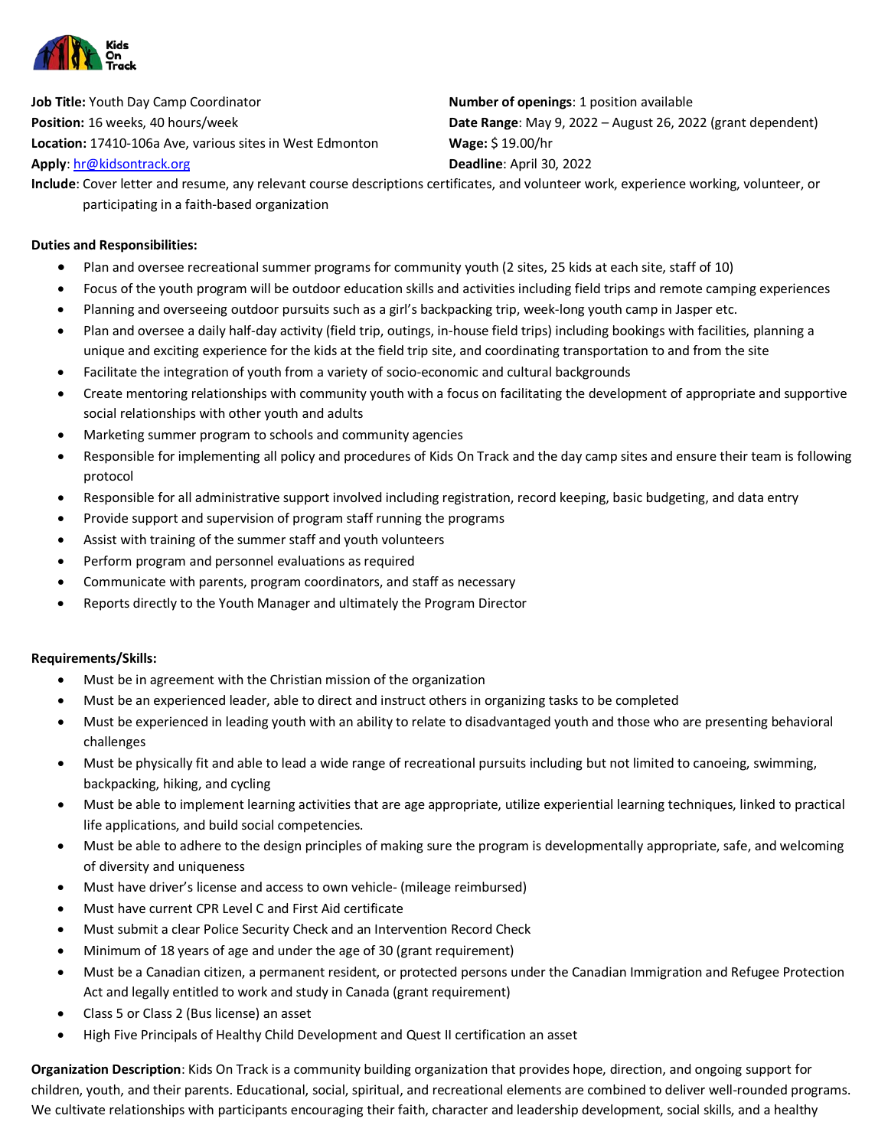

**Job Title:** Youth Day Camp Coordinator **Number of openings**: 1 position available **Location:** 17410-106a Ave, various sites in West Edmonton **Wage:** \$ 19.00/hr **Apply**[: hr@kidsontrack.org](mailto:hr@kidsontrack.org) **Deadline**: April 30, 2022

**Position:** 16 weeks, 40 hours/week **Date Range:** May 9, 2022 – August 26, 2022 (grant dependent)

**Include**: Cover letter and resume, any relevant course descriptions certificates, and volunteer work, experience working, volunteer, or participating in a faith-based organization

## **Duties and Responsibilities:**

- Plan and oversee recreational summer programs for community youth (2 sites, 25 kids at each site, staff of 10)
- Focus of the youth program will be outdoor education skills and activities including field trips and remote camping experiences
- Planning and overseeing outdoor pursuits such as a girl's backpacking trip, week-long youth camp in Jasper etc.
- Plan and oversee a daily half-day activity (field trip, outings, in-house field trips) including bookings with facilities, planning a unique and exciting experience for the kids at the field trip site, and coordinating transportation to and from the site
- Facilitate the integration of youth from a variety of socio-economic and cultural backgrounds
- Create mentoring relationships with community youth with a focus on facilitating the development of appropriate and supportive social relationships with other youth and adults
- Marketing summer program to schools and community agencies
- Responsible for implementing all policy and procedures of Kids On Track and the day camp sites and ensure their team is following protocol
- Responsible for all administrative support involved including registration, record keeping, basic budgeting, and data entry
- Provide support and supervision of program staff running the programs
- Assist with training of the summer staff and youth volunteers
- Perform program and personnel evaluations as required
- Communicate with parents, program coordinators, and staff as necessary
- Reports directly to the Youth Manager and ultimately the Program Director

## **Requirements/Skills:**

- Must be in agreement with the Christian mission of the organization
- Must be an experienced leader, able to direct and instruct others in organizing tasks to be completed
- Must be experienced in leading youth with an ability to relate to disadvantaged youth and those who are presenting behavioral challenges
- Must be physically fit and able to lead a wide range of recreational pursuits including but not limited to canoeing, swimming, backpacking, hiking, and cycling
- Must be able to implement learning activities that are age appropriate, utilize experiential learning techniques, linked to practical life applications, and build social competencies.
- Must be able to adhere to the design principles of making sure the program is developmentally appropriate, safe, and welcoming of diversity and uniqueness
- Must have driver's license and access to own vehicle- (mileage reimbursed)
- Must have current CPR Level C and First Aid certificate
- Must submit a clear Police Security Check and an Intervention Record Check
- Minimum of 18 years of age and under the age of 30 (grant requirement)
- Must be a Canadian citizen, a permanent resident, or protected persons under the Canadian Immigration and Refugee Protection Act and legally entitled to work and study in Canada (grant requirement)
- Class 5 or Class 2 (Bus license) an asset
- High Five Principals of Healthy Child Development and Quest II certification an asset

**Organization Description**: Kids On Track is a community building organization that provides hope, direction, and ongoing support for children, youth, and their parents. Educational, social, spiritual, and recreational elements are combined to deliver well-rounded programs. We cultivate relationships with participants encouraging their faith, character and leadership development, social skills, and a healthy